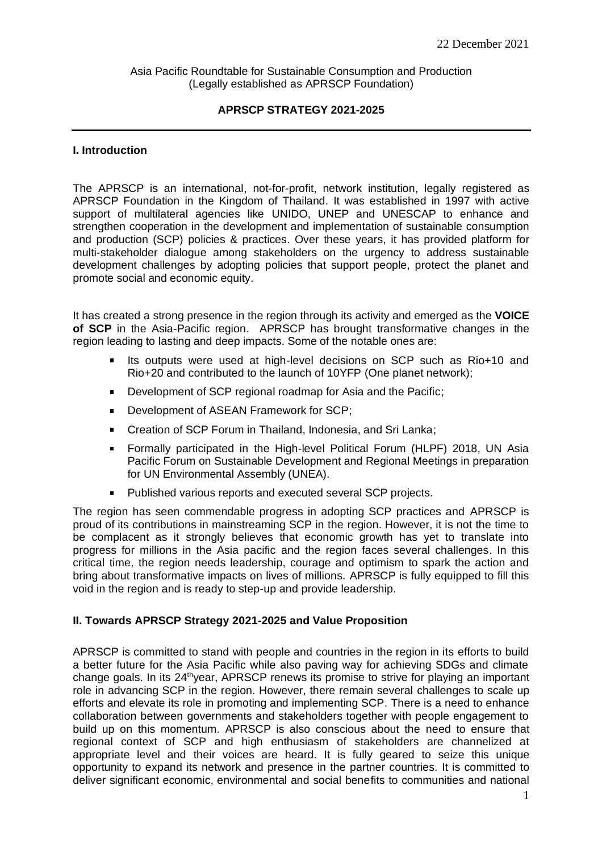Asia Pacific Roundtable for Sustainable Consumption and Production (Legally established as APRSCP Foundation)

# **APRSCP STRATEGY 2021-2025**

### **I. Introduction**

The APRSCP is an international, not-for-profit, network institution, legally registered as APRSCP Foundation in the Kingdom of Thailand. It was established in 1997 with active support of multilateral agencies like UNIDO, UNEP and UNESCAP to enhance and strengthen cooperation in the development and implementation of sustainable consumption and production (SCP) policies & practices. Over these years, it has provided platform for multi-stakeholder dialogue among stakeholders on the urgency to address sustainable development challenges by adopting policies that support people, protect the planet and promote social and economic equity.

It has created a strong presence in the region through its activity and emerged as the **VOICE of SCP** in the Asia-Pacific region. APRSCP has brought transformative changes in the region leading to lasting and deep impacts. Some of the notable ones are:

- Its outputs were used at high-level decisions on SCP such as Rio+10 and Rio+20 and contributed to the launch of 10YFP (One planet network);
- Development of SCP regional roadmap for Asia and the Pacific;
- Development of ASEAN Framework for SCP;
- $\blacksquare$ Creation of SCP Forum in Thailand, Indonesia, and Sri Lanka;
- Formally participated in the High-level Political Forum (HLPF) 2018, UN Asia  $\blacksquare$ Pacific Forum on Sustainable Development and Regional Meetings in preparation for UN Environmental Assembly (UNEA).
- Published various reports and executed several SCP projects.

The region has seen commendable progress in adopting SCP practices and APRSCP is proud of its contributions in mainstreaming SCP in the region. However, it is not the time to be complacent as it strongly believes that economic growth has yet to translate into progress for millions in the Asia pacific and the region faces several challenges. In this critical time, the region needs leadership, courage and optimism to spark the action and bring about transformative impacts on lives of millions. APRSCP is fully equipped to fill this void in the region and is ready to step-up and provide leadership.

# **II. Towards APRSCP Strategy 2021-2025 and Value Proposition**

APRSCP is committed to stand with people and countries in the region in its efforts to build a better future for the Asia Pacific while also paving way for achieving SDGs and climate change goals. In its 24<sup>th</sup>year, APRSCP renews its promise to strive for playing an important role in advancing SCP in the region. However, there remain several challenges to scale up efforts and elevate its role in promoting and implementing SCP. There is a need to enhance collaboration between governments and stakeholders together with people engagement to build up on this momentum. APRSCP is also conscious about the need to ensure that regional context of SCP and high enthusiasm of stakeholders are channelized at appropriate level and their voices are heard. It is fully geared to seize this unique opportunity to expand its network and presence in the partner countries. It is committed to deliver significant economic, environmental and social benefits to communities and national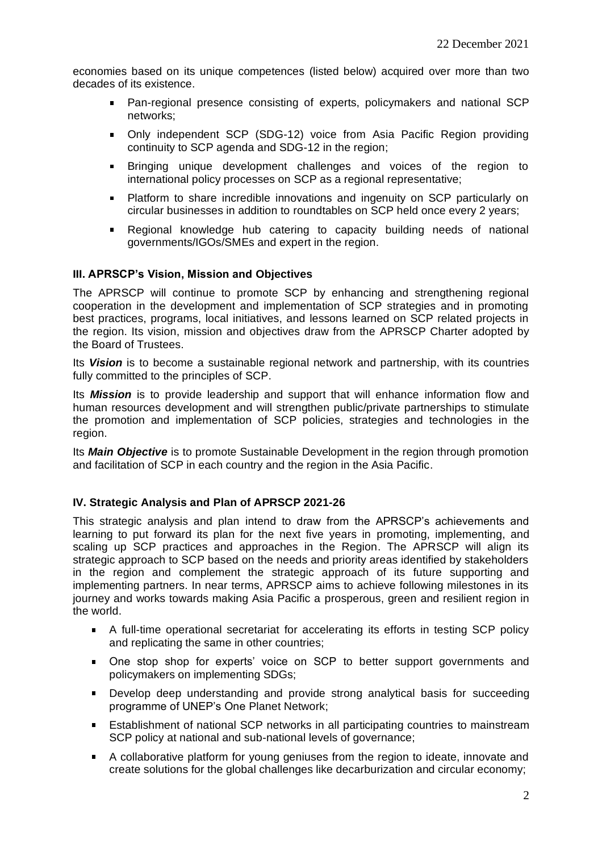economies based on its unique competences (listed below) acquired over more than two decades of its existence.

- Pan-regional presence consisting of experts, policymakers and national SCP networks;
- Only independent SCP (SDG-12) voice from Asia Pacific Region providing  $\mathbf{u}$ continuity to SCP agenda and SDG-12 in the region;
- Bringing unique development challenges and voices of the region to  $\blacksquare$ international policy processes on SCP as a regional representative;
- Platform to share incredible innovations and ingenuity on SCP particularly on  $\mathbf{u}$  . circular businesses in addition to roundtables on SCP held once every 2 years;
- Regional knowledge hub catering to capacity building needs of national governments/IGOs/SMEs and expert in the region.

# **III. APRSCP's Vision, Mission and Objectives**

The APRSCP will continue to promote SCP by enhancing and strengthening regional cooperation in the development and implementation of SCP strategies and in promoting best practices, programs, local initiatives, and lessons learned on SCP related projects in the region. Its vision, mission and objectives draw from the APRSCP Charter adopted by the Board of Trustees.

Its *Vision* is to become a sustainable regional network and partnership, with its countries fully committed to the principles of SCP.

Its *Mission* is to provide leadership and support that will enhance information flow and human resources development and will strengthen public/private partnerships to stimulate the promotion and implementation of SCP policies, strategies and technologies in the region.

Its *Main Objective* is to promote Sustainable Development in the region through promotion and facilitation of SCP in each country and the region in the Asia Pacific.

#### **IV. Strategic Analysis and Plan of APRSCP 2021-26**

This strategic analysis and plan intend to draw from the APRSCP's achievements and learning to put forward its plan for the next five years in promoting, implementing, and scaling up SCP practices and approaches in the Region. The APRSCP will align its strategic approach to SCP based on the needs and priority areas identified by stakeholders in the region and complement the strategic approach of its future supporting and implementing partners. In near terms, APRSCP aims to achieve following milestones in its journey and works towards making Asia Pacific a prosperous, green and resilient region in the world.

- A full-time operational secretariat for accelerating its efforts in testing SCP policy and replicating the same in other countries;
- One stop shop for experts' voice on SCP to better support governments and  $\mathbf{u}$ policymakers on implementing SDGs;
- Develop deep understanding and provide strong analytical basis for succeeding programme of UNEP's One Planet Network;
- Establishment of national SCP networks in all participating countries to mainstream SCP policy at national and sub-national levels of governance:
- $\blacksquare$ A collaborative platform for young geniuses from the region to ideate, innovate and create solutions for the global challenges like decarburization and circular economy;